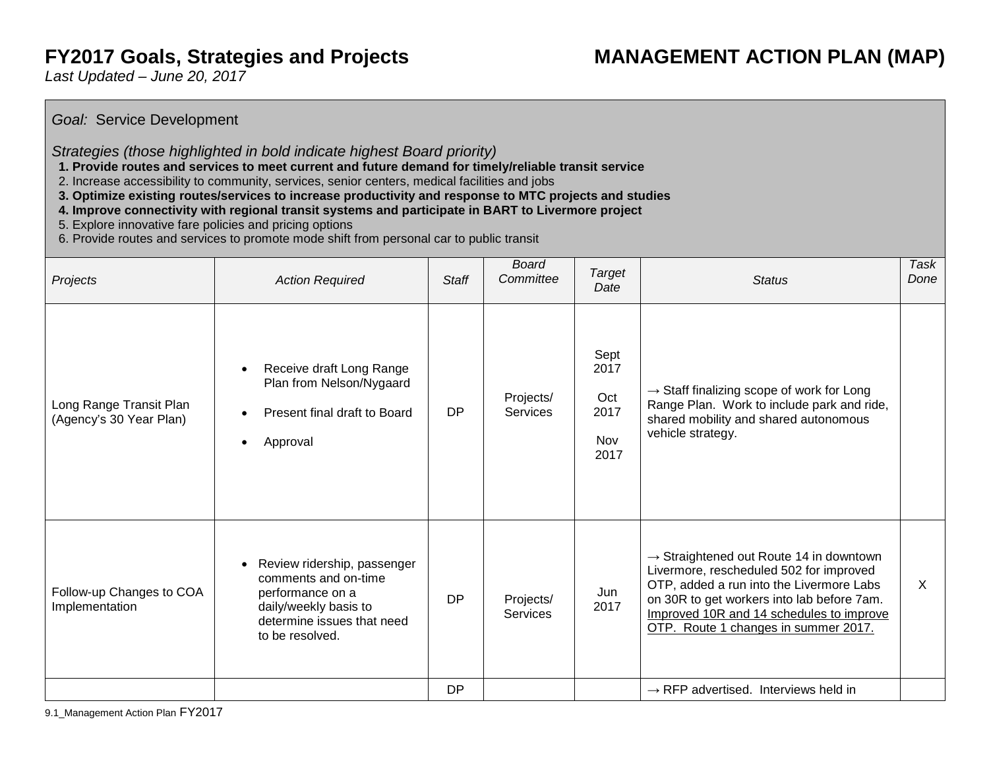# **FY2017 Goals, Strategies and Projects MANAGEMENT ACTION PLAN (MAP)**

*Last Updated – June 20, 2017*

# *Goal:* Service Development

#### *Strategies (those highlighted in bold indicate highest Board priority)*

- **1. Provide routes and services to meet current and future demand for timely/reliable transit service**
- 2. Increase accessibility to community, services, senior centers, medical facilities and jobs
- **3. Optimize existing routes/services to increase productivity and response to MTC projects and studies**
- **4. Improve connectivity with regional transit systems and participate in BART to Livermore project**
- 5. Explore innovative fare policies and pricing options
- 6. Provide routes and services to promote mode shift from personal car to public transit

| Projects                                           | <b>Action Required</b>                                                                                                                                         | <b>Staff</b> | <b>Board</b><br>Committee | Target<br>Date                             | <b>Status</b>                                                                                                                                                                                                                                                                | Task<br>Done |
|----------------------------------------------------|----------------------------------------------------------------------------------------------------------------------------------------------------------------|--------------|---------------------------|--------------------------------------------|------------------------------------------------------------------------------------------------------------------------------------------------------------------------------------------------------------------------------------------------------------------------------|--------------|
| Long Range Transit Plan<br>(Agency's 30 Year Plan) | Receive draft Long Range<br>$\bullet$<br>Plan from Nelson/Nygaard<br>Present final draft to Board<br>$\bullet$<br>Approval<br>٠                                | <b>DP</b>    | Projects/<br>Services     | Sept<br>2017<br>Oct<br>2017<br>Nov<br>2017 | $\rightarrow$ Staff finalizing scope of work for Long<br>Range Plan. Work to include park and ride,<br>shared mobility and shared autonomous<br>vehicle strategy.                                                                                                            |              |
| Follow-up Changes to COA<br>Implementation         | Review ridership, passenger<br>$\bullet$<br>comments and on-time<br>performance on a<br>daily/weekly basis to<br>determine issues that need<br>to be resolved. | <b>DP</b>    | Projects/<br>Services     | Jun<br>2017                                | $\rightarrow$ Straightened out Route 14 in downtown<br>Livermore, rescheduled 502 for improved<br>OTP, added a run into the Livermore Labs<br>on 30R to get workers into lab before 7am.<br>Improved 10R and 14 schedules to improve<br>OTP. Route 1 changes in summer 2017. | $\times$     |
|                                                    |                                                                                                                                                                | DP           |                           |                                            | $\rightarrow$ RFP advertised. Interviews held in                                                                                                                                                                                                                             |              |

9.1\_Management Action Plan FY2017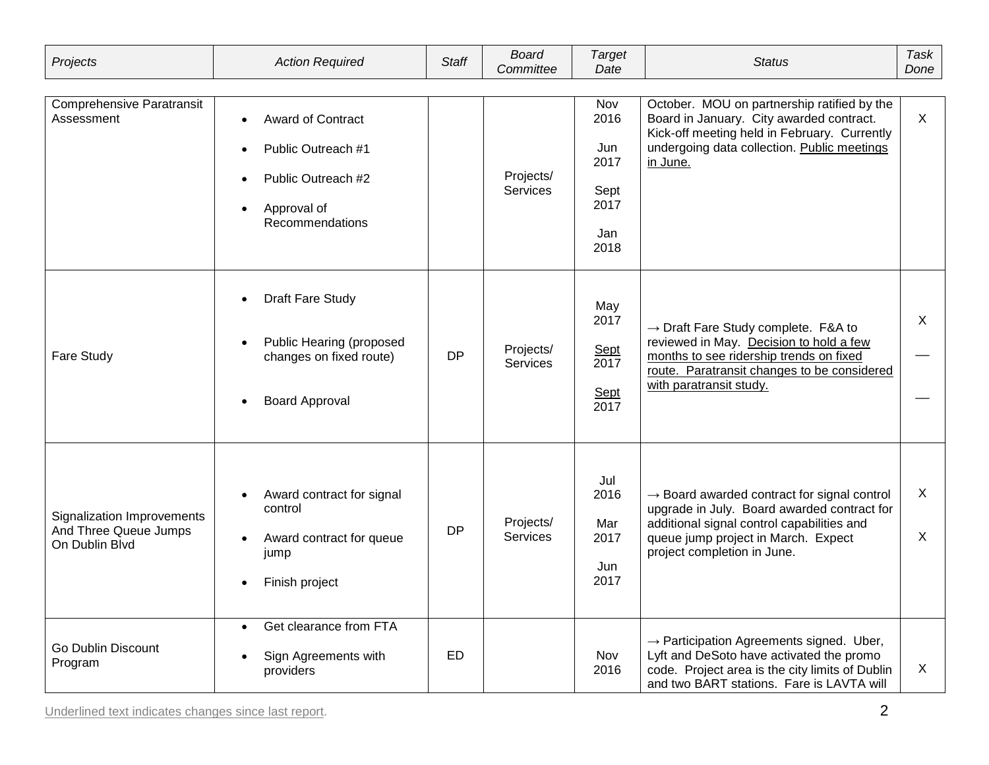| Projects                                                              | <b>Action Required</b>                                                                                                                         | <b>Staff</b> | <b>Board</b><br>Committee    | <b>Target</b><br>Date                                     | <b>Status</b>                                                                                                                                                                                                              | Task<br>Done |
|-----------------------------------------------------------------------|------------------------------------------------------------------------------------------------------------------------------------------------|--------------|------------------------------|-----------------------------------------------------------|----------------------------------------------------------------------------------------------------------------------------------------------------------------------------------------------------------------------------|--------------|
| <b>Comprehensive Paratransit</b><br>Assessment                        | Award of Contract<br>$\bullet$<br>Public Outreach #1<br>Public Outreach #2<br>Approval of<br>$\bullet$<br>Recommendations                      |              | Projects/<br>Services        | Nov<br>2016<br>Jun<br>2017<br>Sept<br>2017<br>Jan<br>2018 | October. MOU on partnership ratified by the<br>Board in January. City awarded contract.<br>Kick-off meeting held in February. Currently<br>undergoing data collection. Public meetings<br>in June.                         | $\mathsf{X}$ |
| Fare Study                                                            | <b>Draft Fare Study</b><br>$\bullet$<br>Public Hearing (proposed<br>$\bullet$<br>changes on fixed route)<br><b>Board Approval</b><br>$\bullet$ | <b>DP</b>    | Projects/<br><b>Services</b> | May<br>2017<br>Sept<br>2017<br>Sept<br>2017               | $\rightarrow$ Draft Fare Study complete. F&A to<br>reviewed in May. Decision to hold a few<br>months to see ridership trends on fixed<br>route. Paratransit changes to be considered<br>with paratransit study.            | X            |
| Signalization Improvements<br>And Three Queue Jumps<br>On Dublin Blvd | Award contract for signal<br>control<br>Award contract for queue<br>$\bullet$<br>jump<br>Finish project<br>$\bullet$                           | <b>DP</b>    | Projects/<br><b>Services</b> | Jul<br>2016<br>Mar<br>2017<br>Jun<br>2017                 | $\rightarrow$ Board awarded contract for signal control<br>upgrade in July. Board awarded contract for<br>additional signal control capabilities and<br>queue jump project in March. Expect<br>project completion in June. | X<br>X       |
| <b>Go Dublin Discount</b><br>Program                                  | Get clearance from FTA<br>$\bullet$<br>Sign Agreements with<br>$\bullet$<br>providers                                                          | ED           |                              | Nov<br>2016                                               | $\rightarrow$ Participation Agreements signed. Uber,<br>Lyft and DeSoto have activated the promo<br>code. Project area is the city limits of Dublin<br>and two BART stations. Fare is LAVTA will                           | X            |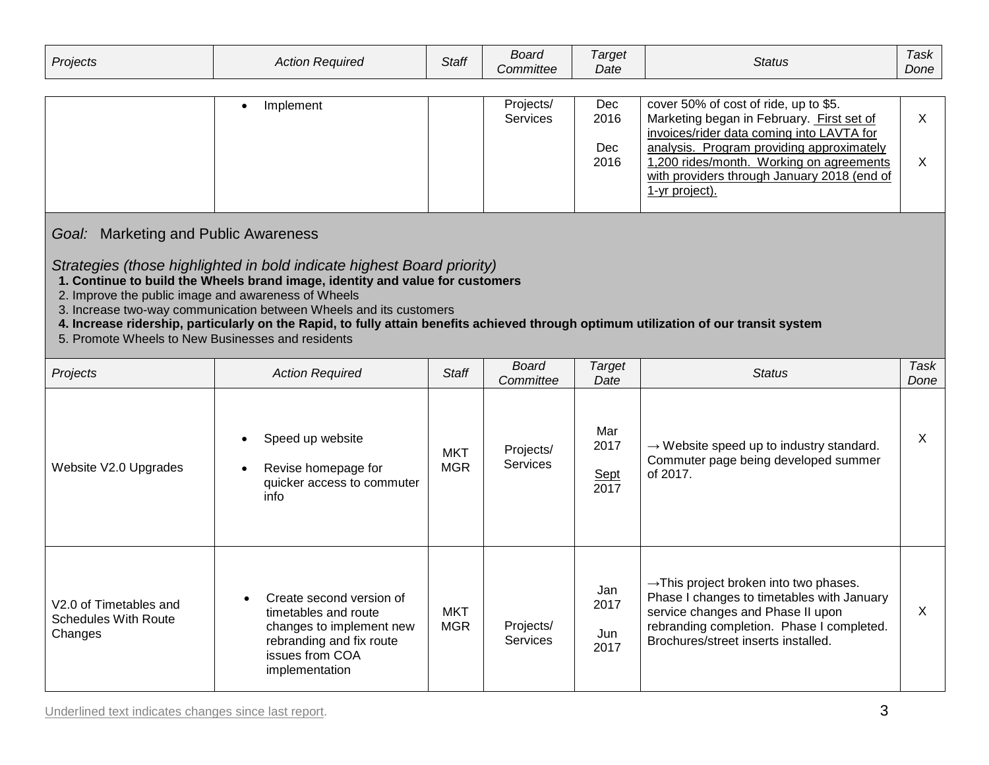| Projects | Action<br>Reauired<br>Auuur | <b>Staff</b> | Board<br><b>Committee</b> | <i>arget</i><br>Date | Status | l ask<br>Done |
|----------|-----------------------------|--------------|---------------------------|----------------------|--------|---------------|
|----------|-----------------------------|--------------|---------------------------|----------------------|--------|---------------|

| Implement | Projects/       | Dec  | cover 50% of cost of ride, up to \$5.       |  |
|-----------|-----------------|------|---------------------------------------------|--|
|           | <b>Services</b> | 2016 | Marketing began in February. First set of   |  |
|           |                 |      | invoices/rider data coming into LAVTA for   |  |
|           |                 | Dec  | analysis. Program providing approximately   |  |
|           |                 | 2016 | 1,200 rides/month. Working on agreements    |  |
|           |                 |      | with providers through January 2018 (end of |  |
|           |                 |      | 1-yr project).                              |  |
|           |                 |      |                                             |  |

# *Goal:*Marketing and Public Awareness

#### *Strategies (those highlighted in bold indicate highest Board priority)*

- **1. Continue to build the Wheels brand image, identity and value for customers**
- 2. Improve the public image and awareness of Wheels
- 3. Increase two-way communication between Wheels and its customers
- **4. Increase ridership, particularly on the Rapid, to fully attain benefits achieved through optimum utilization of our transit system**
- 5. Promote Wheels to New Businesses and residents

| Projects                                                         | <b>Action Required</b>                                                                                                                        | <b>Staff</b>             | Board<br>Committee           | Target<br>Date                     | <b>Status</b>                                                                                                                                                                                                             | Task<br>Done |
|------------------------------------------------------------------|-----------------------------------------------------------------------------------------------------------------------------------------------|--------------------------|------------------------------|------------------------------------|---------------------------------------------------------------------------------------------------------------------------------------------------------------------------------------------------------------------------|--------------|
| Website V2.0 Upgrades                                            | Speed up website<br>$\bullet$<br>Revise homepage for<br>$\bullet$<br>quicker access to commuter<br>info                                       | <b>MKT</b><br><b>MGR</b> | Projects/<br><b>Services</b> | Mar<br>2017<br><u>Sept</u><br>2017 | $\rightarrow$ Website speed up to industry standard.<br>Commuter page being developed summer<br>of 2017.                                                                                                                  | X            |
| V2.0 of Timetables and<br><b>Schedules With Route</b><br>Changes | Create second version of<br>timetables and route<br>changes to implement new<br>rebranding and fix route<br>issues from COA<br>implementation | <b>MKT</b><br><b>MGR</b> | Projects/<br><b>Services</b> | Jan<br>2017<br>Jun<br>2017         | $\rightarrow$ This project broken into two phases.<br>Phase I changes to timetables with January<br>service changes and Phase II upon<br>rebranding completion. Phase I completed.<br>Brochures/street inserts installed. | X            |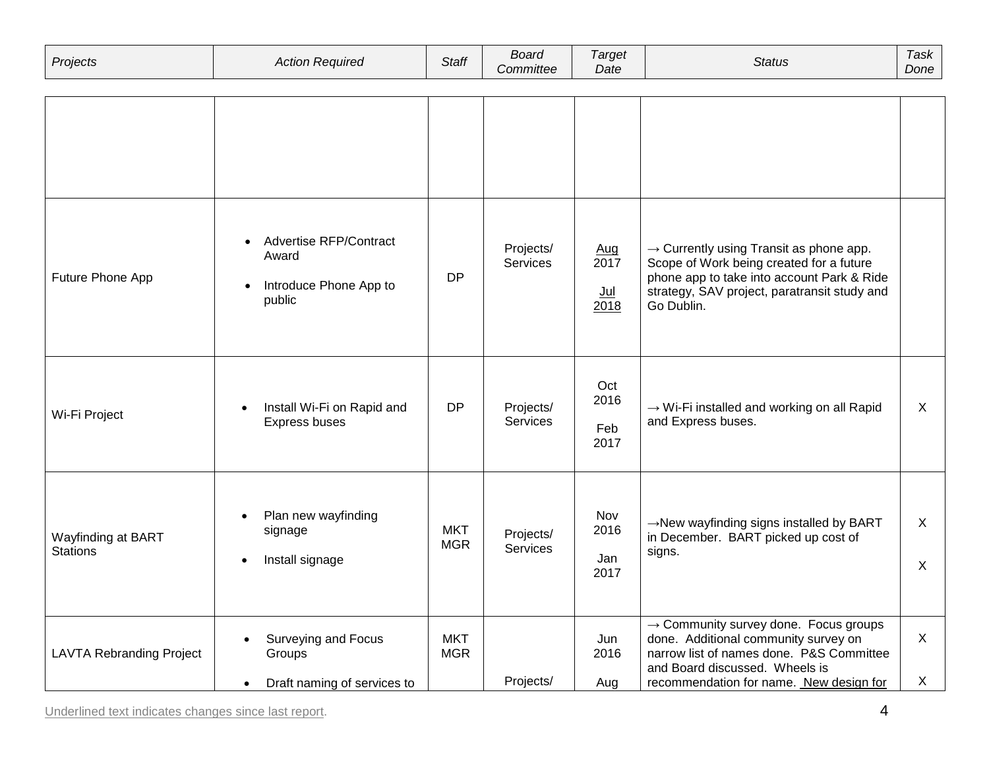| Projects                              | <b>Action Required</b>                                                                        | <b>Staff</b>             | <b>Board</b><br>Committee    | <b>Target</b><br>Date        | <b>Status</b>                                                                                                                                                                                                      | Task<br>Done      |
|---------------------------------------|-----------------------------------------------------------------------------------------------|--------------------------|------------------------------|------------------------------|--------------------------------------------------------------------------------------------------------------------------------------------------------------------------------------------------------------------|-------------------|
|                                       |                                                                                               |                          |                              |                              |                                                                                                                                                                                                                    |                   |
| Future Phone App                      | Advertise RFP/Contract<br>$\bullet$<br>Award<br>Introduce Phone App to<br>public              | <b>DP</b>                | Projects/<br>Services        | Aug<br>2017<br>$Jul$<br>2018 | $\rightarrow$ Currently using Transit as phone app.<br>Scope of Work being created for a future<br>phone app to take into account Park & Ride<br>strategy, SAV project, paratransit study and<br>Go Dublin.        |                   |
| Wi-Fi Project                         | Install Wi-Fi on Rapid and<br>Express buses                                                   | <b>DP</b>                | Projects/<br><b>Services</b> | Oct<br>2016<br>Feb<br>2017   | $\rightarrow$ Wi-Fi installed and working on all Rapid<br>and Express buses.                                                                                                                                       | X                 |
| Wayfinding at BART<br><b>Stations</b> | Plan new wayfinding<br>$\bullet$<br>signage<br>Install signage<br>$\bullet$                   | <b>MKT</b><br><b>MGR</b> | Projects/<br>Services        | Nov<br>2016<br>Jan<br>2017   | →New wayfinding signs installed by BART<br>in December. BART picked up cost of<br>signs.                                                                                                                           | X<br>X            |
| <b>LAVTA Rebranding Project</b>       | <b>Surveying and Focus</b><br>$\bullet$<br>Groups<br>Draft naming of services to<br>$\bullet$ | <b>MKT</b><br><b>MGR</b> | Projects/                    | Jun<br>2016<br>Aug           | $\rightarrow$ Community survey done. Focus groups<br>done. Additional community survey on<br>narrow list of names done. P&S Committee<br>and Board discussed. Wheels is<br>recommendation for name. New design for | $\mathsf{X}$<br>X |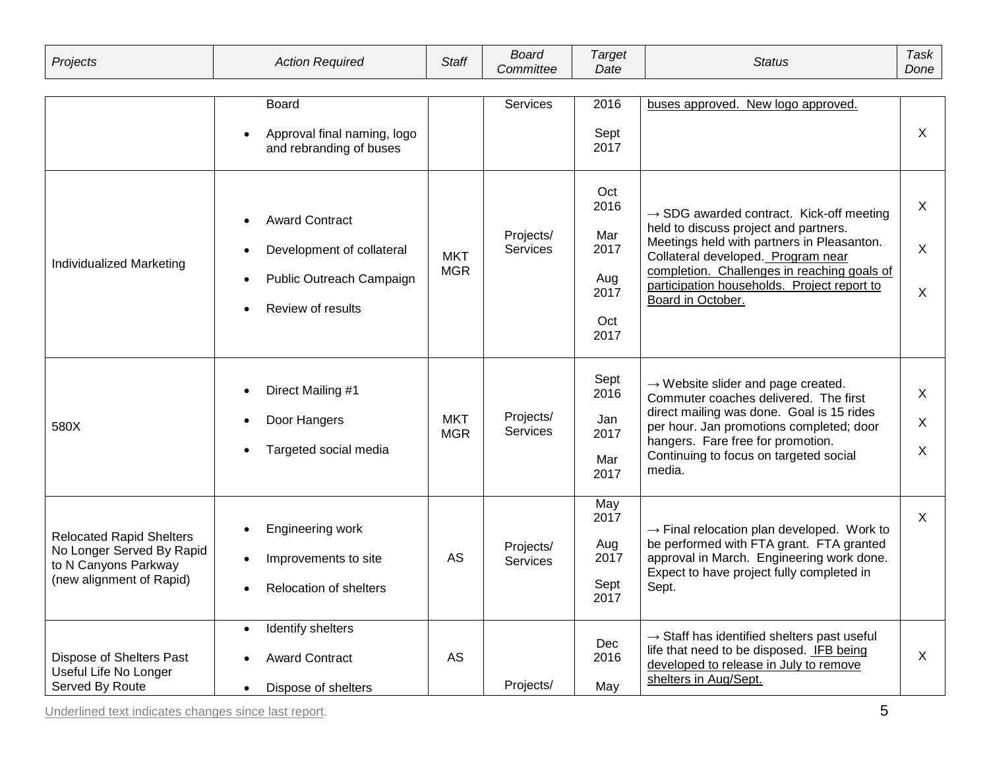| Projects                                                                                                         | <b>Action Required</b>                                                                              | <b>Staff</b>             | <b>Board</b><br>Committee    | <b>Target</b><br>Date                                    | <b>Status</b>                                                                                                                                                                                                                                                                                        | Task<br>Done |
|------------------------------------------------------------------------------------------------------------------|-----------------------------------------------------------------------------------------------------|--------------------------|------------------------------|----------------------------------------------------------|------------------------------------------------------------------------------------------------------------------------------------------------------------------------------------------------------------------------------------------------------------------------------------------------------|--------------|
|                                                                                                                  | <b>Board</b><br>Approval final naming, logo<br>and rebranding of buses                              |                          | <b>Services</b>              | 2016<br>Sept<br>2017                                     | buses approved. New logo approved.                                                                                                                                                                                                                                                                   | X            |
| Individualized Marketing                                                                                         | <b>Award Contract</b><br>Development of collateral<br>Public Outreach Campaign<br>Review of results | <b>MKT</b><br><b>MGR</b> | Projects/<br><b>Services</b> | Oct<br>2016<br>Mar<br>2017<br>Aug<br>2017<br>Oct<br>2017 | $\rightarrow$ SDG awarded contract. Kick-off meeting<br>held to discuss project and partners.<br>Meetings held with partners in Pleasanton.<br>Collateral developed. Program near<br>completion. Challenges in reaching goals of<br>participation households. Project report to<br>Board in October. | X<br>X<br>X  |
| 580X                                                                                                             | Direct Mailing #1<br>Door Hangers<br>Targeted social media                                          | <b>MKT</b><br><b>MGR</b> | Projects/<br><b>Services</b> | Sept<br>2016<br>Jan<br>2017<br>Mar<br>2017               | $\rightarrow$ Website slider and page created.<br>Commuter coaches delivered. The first<br>direct mailing was done. Goal is 15 rides<br>per hour. Jan promotions completed; door<br>hangers. Fare free for promotion.<br>Continuing to focus on targeted social<br>media.                            | X<br>X<br>X  |
| <b>Relocated Rapid Shelters</b><br>No Longer Served By Rapid<br>to N Canyons Parkway<br>(new alignment of Rapid) | Engineering work<br>Improvements to site<br>Relocation of shelters                                  | AS                       | Projects/<br><b>Services</b> | May<br>2017<br>Aug<br>2017<br>Sept<br>2017               | $\rightarrow$ Final relocation plan developed. Work to<br>be performed with FTA grant. FTA granted<br>approval in March. Engineering work done.<br>Expect to have project fully completed in<br>Sept.                                                                                                | $\mathsf{X}$ |
| Dispose of Shelters Past<br>Useful Life No Longer<br>Served By Route                                             | Identify shelters<br><b>Award Contract</b><br>Dispose of shelters                                   | AS                       | Projects/                    | Dec<br>2016<br>May                                       | $\rightarrow$ Staff has identified shelters past useful<br>life that need to be disposed. IFB being<br>developed to release in July to remove<br>shelters in Aug/Sept.                                                                                                                               | X            |

Underlined text indicates changes since last report. 5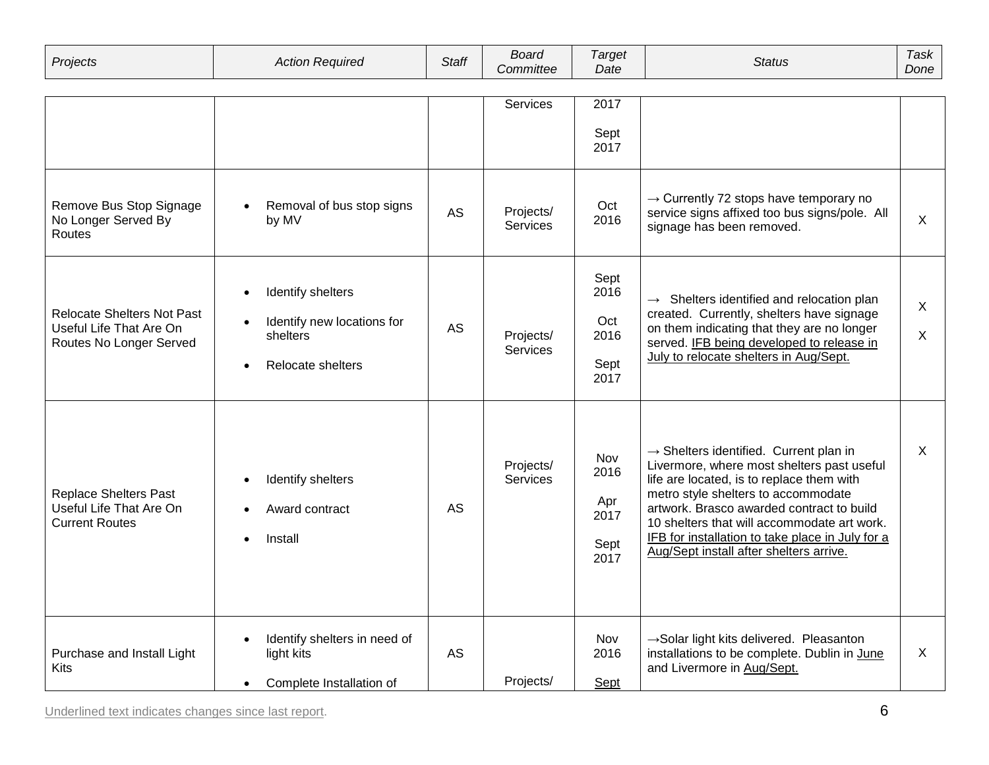| Projects                                                                                | <b>Action Required</b>                                                                                     | <b>Staff</b> | <b>Board</b><br>Committee    | <b>Target</b><br>Date                       | <b>Status</b>                                                                                                                                                                                                                                                                                                                                                                   | <b>Task</b><br>Done |
|-----------------------------------------------------------------------------------------|------------------------------------------------------------------------------------------------------------|--------------|------------------------------|---------------------------------------------|---------------------------------------------------------------------------------------------------------------------------------------------------------------------------------------------------------------------------------------------------------------------------------------------------------------------------------------------------------------------------------|---------------------|
|                                                                                         |                                                                                                            |              | Services                     | 2017<br>Sept<br>2017                        |                                                                                                                                                                                                                                                                                                                                                                                 |                     |
| Remove Bus Stop Signage<br>No Longer Served By<br>Routes                                | Removal of bus stop signs<br>by MV                                                                         | <b>AS</b>    | Projects/<br><b>Services</b> | Oct<br>2016                                 | $\rightarrow$ Currently 72 stops have temporary no<br>service signs affixed too bus signs/pole. All<br>signage has been removed.                                                                                                                                                                                                                                                | X                   |
| <b>Relocate Shelters Not Past</b><br>Useful Life That Are On<br>Routes No Longer Served | Identify shelters<br>$\bullet$<br>Identify new locations for<br>shelters<br>Relocate shelters<br>$\bullet$ | <b>AS</b>    | Projects/<br><b>Services</b> | Sept<br>2016<br>Oct<br>2016<br>Sept<br>2017 | $\rightarrow$ Shelters identified and relocation plan<br>created. Currently, shelters have signage<br>on them indicating that they are no longer<br>served. IFB being developed to release in<br>July to relocate shelters in Aug/Sept.                                                                                                                                         | X<br>X.             |
| <b>Replace Shelters Past</b><br>Useful Life That Are On<br><b>Current Routes</b>        | Identify shelters<br>Award contract<br>Install                                                             | <b>AS</b>    | Projects/<br><b>Services</b> | Nov<br>2016<br>Apr<br>2017<br>Sept<br>2017  | $\rightarrow$ Shelters identified. Current plan in<br>Livermore, where most shelters past useful<br>life are located, is to replace them with<br>metro style shelters to accommodate<br>artwork. Brasco awarded contract to build<br>10 shelters that will accommodate art work.<br>IFB for installation to take place in July for a<br>Aug/Sept install after shelters arrive. | $\mathsf{X}$        |
| Purchase and Install Light<br>Kits                                                      | Identify shelters in need of<br>$\bullet$<br>light kits<br>Complete Installation of<br>$\bullet$           | AS           | Projects/                    | Nov<br>2016<br>Sept                         | $\rightarrow$ Solar light kits delivered. Pleasanton<br>installations to be complete. Dublin in June<br>and Livermore in Aug/Sept.                                                                                                                                                                                                                                              | X                   |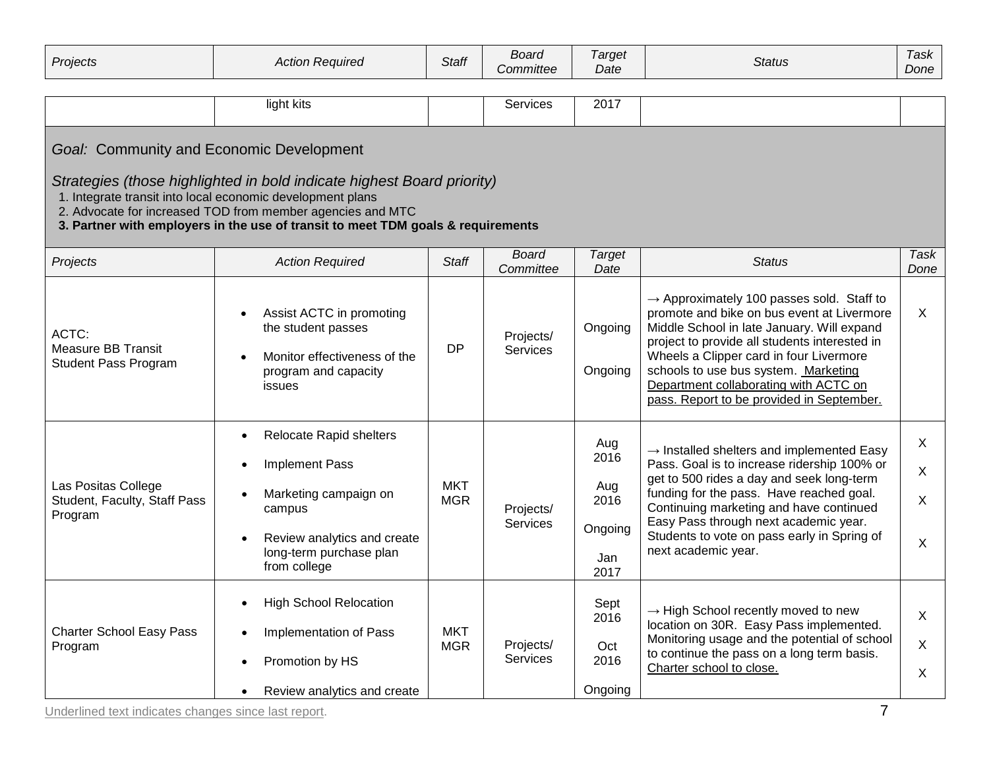| Projects                                                       | <b>Action Required</b>                                                                                                                                                                                                                                                                 | <b>Staff</b>             | <b>Board</b><br>Committee    | <b>Target</b><br>Date                                | <b>Status</b>                                                                                                                                                                                                                                                                                                                                                               | Task<br>Done                |
|----------------------------------------------------------------|----------------------------------------------------------------------------------------------------------------------------------------------------------------------------------------------------------------------------------------------------------------------------------------|--------------------------|------------------------------|------------------------------------------------------|-----------------------------------------------------------------------------------------------------------------------------------------------------------------------------------------------------------------------------------------------------------------------------------------------------------------------------------------------------------------------------|-----------------------------|
|                                                                | light kits                                                                                                                                                                                                                                                                             |                          | Services                     | 2017                                                 |                                                                                                                                                                                                                                                                                                                                                                             |                             |
| Goal: Community and Economic Development                       | Strategies (those highlighted in bold indicate highest Board priority)<br>1. Integrate transit into local economic development plans<br>2. Advocate for increased TOD from member agencies and MTC<br>3. Partner with employers in the use of transit to meet TDM goals & requirements |                          |                              |                                                      |                                                                                                                                                                                                                                                                                                                                                                             |                             |
| Projects                                                       | <b>Action Required</b>                                                                                                                                                                                                                                                                 | <b>Staff</b>             | <b>Board</b><br>Committee    | <b>Target</b><br>Date                                | <b>Status</b>                                                                                                                                                                                                                                                                                                                                                               | Task<br>Done                |
| ACTC:<br>Measure BB Transit<br><b>Student Pass Program</b>     | Assist ACTC in promoting<br>the student passes<br>Monitor effectiveness of the<br>program and capacity<br>issues                                                                                                                                                                       | <b>DP</b>                | Projects/<br><b>Services</b> | Ongoing<br>Ongoing                                   | $\rightarrow$ Approximately 100 passes sold. Staff to<br>promote and bike on bus event at Livermore<br>Middle School in late January. Will expand<br>project to provide all students interested in<br>Wheels a Clipper card in four Livermore<br>schools to use bus system. Marketing<br>Department collaborating with ACTC on<br>pass. Report to be provided in September. | X                           |
| Las Positas College<br>Student, Faculty, Staff Pass<br>Program | Relocate Rapid shelters<br>$\bullet$<br>Implement Pass<br>Marketing campaign on<br>campus<br>Review analytics and create<br>long-term purchase plan<br>from college                                                                                                                    | <b>MKT</b><br><b>MGR</b> | Projects/<br>Services        | Aug<br>2016<br>Aug<br>2016<br>Ongoing<br>Jan<br>2017 | $\rightarrow$ Installed shelters and implemented Easy<br>Pass. Goal is to increase ridership 100% or<br>get to 500 rides a day and seek long-term<br>funding for the pass. Have reached goal.<br>Continuing marketing and have continued<br>Easy Pass through next academic year.<br>Students to vote on pass early in Spring of<br>next academic year.                     | $\mathsf{X}$<br>X<br>X<br>X |
| <b>Charter School Easy Pass</b><br>Program                     | <b>High School Relocation</b><br>$\bullet$<br>Implementation of Pass<br>Promotion by HS<br>Review analytics and create<br>$\bullet$                                                                                                                                                    | <b>MKT</b><br><b>MGR</b> | Projects/<br><b>Services</b> | Sept<br>2016<br>Oct<br>2016<br>Ongoing               | $\rightarrow$ High School recently moved to new<br>location on 30R. Easy Pass implemented.<br>Monitoring usage and the potential of school<br>to continue the pass on a long term basis.<br>Charter school to close.                                                                                                                                                        | X<br>X<br>X                 |

Underlined text indicates changes since last report.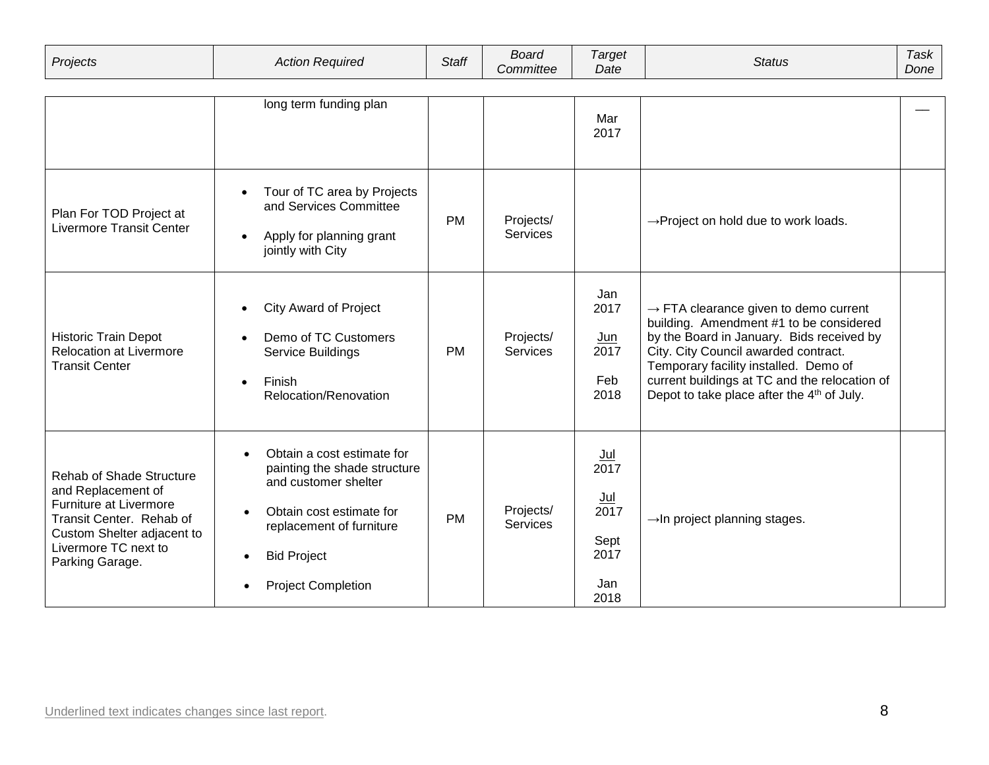| Projects | Action<br>: Reauıred | <b>Staff</b> | Board            | 'arget | Status | l ask |
|----------|----------------------|--------------|------------------|--------|--------|-------|
|          |                      |              | <i>Committee</i> | Date   |        | Done  |

|                                                                                                                                                                                      | long term funding plan                                                                                                                                                                                     |           |                              |                                                             |                                                                                                                                                                                                                                                                                                                                       |  |
|--------------------------------------------------------------------------------------------------------------------------------------------------------------------------------------|------------------------------------------------------------------------------------------------------------------------------------------------------------------------------------------------------------|-----------|------------------------------|-------------------------------------------------------------|---------------------------------------------------------------------------------------------------------------------------------------------------------------------------------------------------------------------------------------------------------------------------------------------------------------------------------------|--|
|                                                                                                                                                                                      |                                                                                                                                                                                                            |           |                              | Mar<br>2017                                                 |                                                                                                                                                                                                                                                                                                                                       |  |
| Plan For TOD Project at<br><b>Livermore Transit Center</b>                                                                                                                           | Tour of TC area by Projects<br>and Services Committee<br>Apply for planning grant<br>$\bullet$<br>jointly with City                                                                                        | <b>PM</b> | Projects/<br>Services        |                                                             | $\rightarrow$ Project on hold due to work loads.                                                                                                                                                                                                                                                                                      |  |
| Historic Train Depot<br><b>Relocation at Livermore</b><br><b>Transit Center</b>                                                                                                      | <b>City Award of Project</b><br>$\bullet$<br>Demo of TC Customers<br>$\bullet$<br>Service Buildings<br>Finish<br>$\bullet$<br>Relocation/Renovation                                                        | <b>PM</b> | Projects/<br><b>Services</b> | Jan<br>2017<br><u>Jun</u><br>2017<br>Feb<br>2018            | $\rightarrow$ FTA clearance given to demo current<br>building. Amendment #1 to be considered<br>by the Board in January. Bids received by<br>City. City Council awarded contract.<br>Temporary facility installed. Demo of<br>current buildings at TC and the relocation of<br>Depot to take place after the 4 <sup>th</sup> of July. |  |
| <b>Rehab of Shade Structure</b><br>and Replacement of<br>Furniture at Livermore<br>Transit Center. Rehab of<br>Custom Shelter adjacent to<br>Livermore TC next to<br>Parking Garage. | Obtain a cost estimate for<br>painting the shade structure<br>and customer shelter<br>Obtain cost estimate for<br>$\bullet$<br>replacement of furniture<br><b>Bid Project</b><br><b>Project Completion</b> | <b>PM</b> | Projects/<br><b>Services</b> | $Jul$<br>2017<br>Jul<br>2017<br>Sept<br>2017<br>Jan<br>2018 | $\rightarrow$ In project planning stages.                                                                                                                                                                                                                                                                                             |  |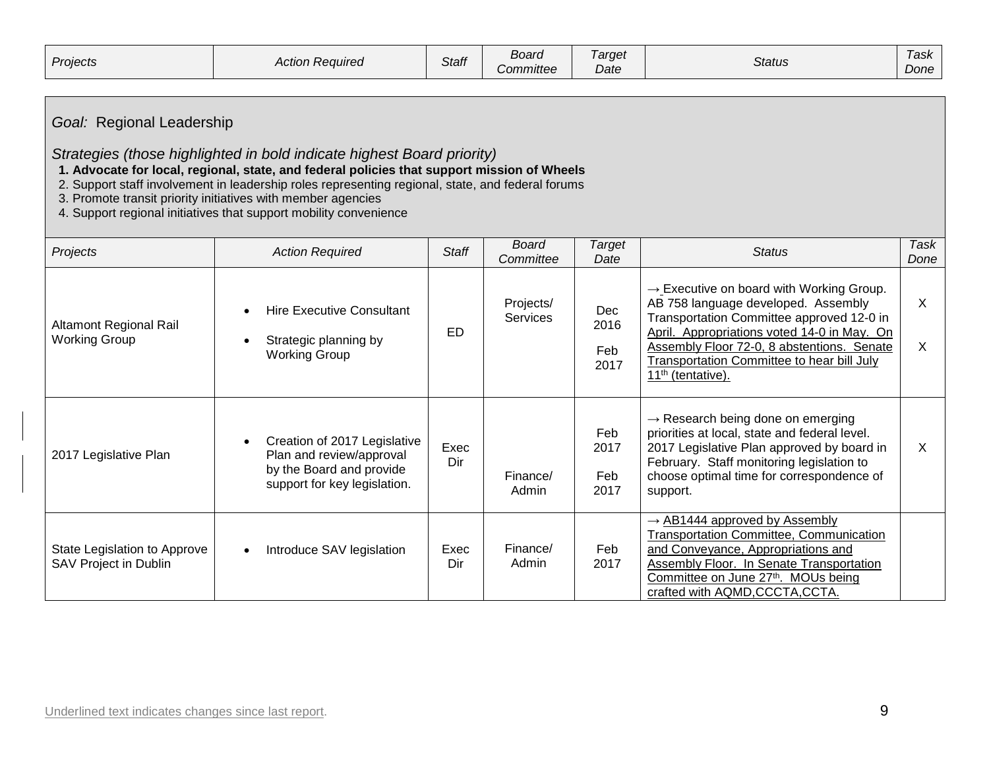| Projects | ı Reauıred<br>Action . | $\epsilon$<br><b>Staff</b> | -<br>Board<br>Committee | 'arget<br>$\cdot$<br>Date | Status | l ask<br>Done |
|----------|------------------------|----------------------------|-------------------------|---------------------------|--------|---------------|
|----------|------------------------|----------------------------|-------------------------|---------------------------|--------|---------------|

# *Goal:* Regional Leadership

### *Strategies (those highlighted in bold indicate highest Board priority)*

 **1. Advocate for local, regional, state, and federal policies that support mission of Wheels**

- 2. Support staff involvement in leadership roles representing regional, state, and federal forums
- 3. Promote transit priority initiatives with member agencies
- 4. Support regional initiatives that support mobility convenience

| Projects                                                     | <b>Action Required</b>                                                                                               | <b>Staff</b> | <b>Board</b><br>Committee    | Target<br>Date                    | <b>Status</b>                                                                                                                                                                                                                                                                                                        | <b>Task</b><br>Done |
|--------------------------------------------------------------|----------------------------------------------------------------------------------------------------------------------|--------------|------------------------------|-----------------------------------|----------------------------------------------------------------------------------------------------------------------------------------------------------------------------------------------------------------------------------------------------------------------------------------------------------------------|---------------------|
| Altamont Regional Rail<br><b>Working Group</b>               | <b>Hire Executive Consultant</b><br>Strategic planning by<br><b>Working Group</b>                                    | ED           | Projects/<br><b>Services</b> | <b>Dec</b><br>2016<br>Feb<br>2017 | $\rightarrow$ Executive on board with Working Group.<br>AB 758 language developed. Assembly<br>Transportation Committee approved 12-0 in<br>April. Appropriations voted 14-0 in May. On<br>Assembly Floor 72-0, 8 abstentions. Senate<br>Transportation Committee to hear bill July<br>11 <sup>th</sup> (tentative). | X<br>X              |
| 2017 Legislative Plan                                        | Creation of 2017 Legislative<br>Plan and review/approval<br>by the Board and provide<br>support for key legislation. | Exec<br>Dir  | Finance/<br>Admin            | Feb<br>2017<br>Feb<br>2017        | $\rightarrow$ Research being done on emerging<br>priorities at local, state and federal level.<br>2017 Legislative Plan approved by board in<br>February. Staff monitoring legislation to<br>choose optimal time for correspondence of<br>support.                                                                   | X                   |
| State Legislation to Approve<br><b>SAV Project in Dublin</b> | Introduce SAV legislation<br>$\bullet$                                                                               | Exec<br>Dir  | Finance/<br>Admin            | Feb<br>2017                       | $\rightarrow$ AB1444 approved by Assembly<br>Transportation Committee, Communication<br>and Conveyance, Appropriations and<br>Assembly Floor. In Senate Transportation<br>Committee on June 27th. MOUs being<br>crafted with AQMD, CCCTA, CCTA.                                                                      |                     |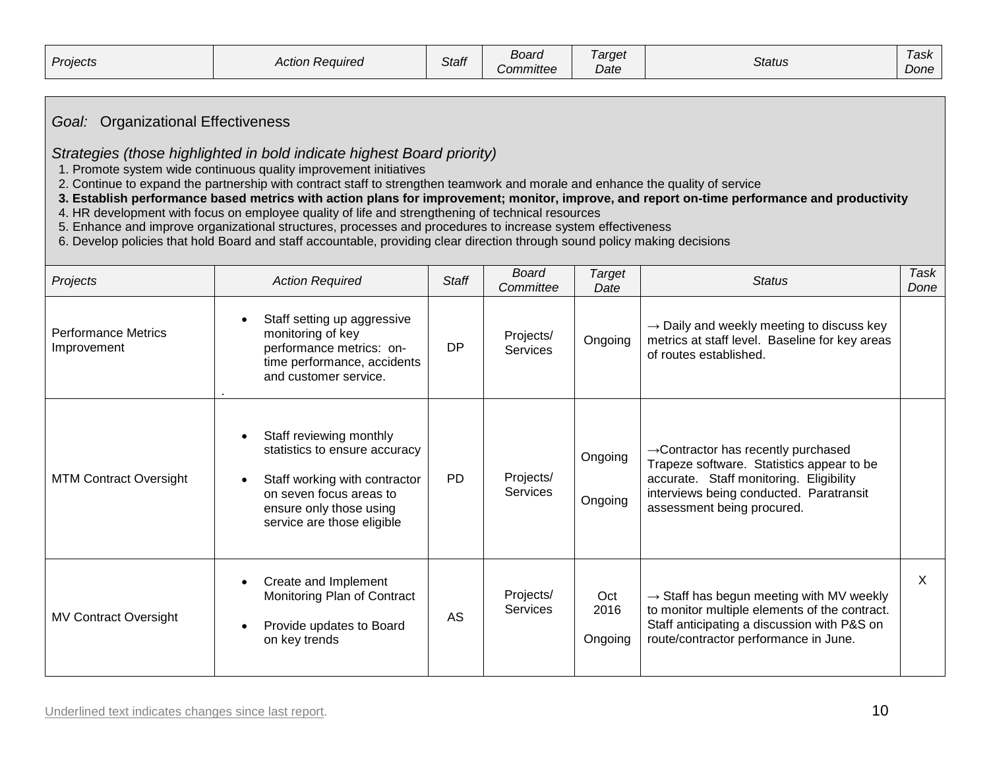| Projects | Action<br>ı Reauired<br>ווטווטח | <b>Staff</b> | Board<br><i>Committee</i> | arget<br>Date | <b>Status</b> | Task<br>Done |
|----------|---------------------------------|--------------|---------------------------|---------------|---------------|--------------|
|          |                                 |              |                           |               |               |              |

# *Goal:*Organizational Effectiveness

#### *Strategies (those highlighted in bold indicate highest Board priority)*

1. Promote system wide continuous quality improvement initiatives

2. Continue to expand the partnership with contract staff to strengthen teamwork and morale and enhance the quality of service

 **3. Establish performance based metrics with action plans for improvement; monitor, improve, and report on-time performance and productivity**

4. HR development with focus on employee quality of life and strengthening of technical resources

5. Enhance and improve organizational structures, processes and procedures to increase system effectiveness

6. Develop policies that hold Board and staff accountable, providing clear direction through sound policy making decisions

| Projects                                  | <b>Action Required</b>                                                                                                                                                        | Staff     | Board<br>Committee           | Target<br>Date         | <b>Status</b>                                                                                                                                                                                                    | Task<br>Done |
|-------------------------------------------|-------------------------------------------------------------------------------------------------------------------------------------------------------------------------------|-----------|------------------------------|------------------------|------------------------------------------------------------------------------------------------------------------------------------------------------------------------------------------------------------------|--------------|
| <b>Performance Metrics</b><br>Improvement | Staff setting up aggressive<br>monitoring of key<br>performance metrics: on-<br>time performance, accidents<br>and customer service.                                          | <b>DP</b> | Projects/<br><b>Services</b> | Ongoing                | $\rightarrow$ Daily and weekly meeting to discuss key<br>metrics at staff level. Baseline for key areas<br>of routes established.                                                                                |              |
| <b>MTM Contract Oversight</b>             | Staff reviewing monthly<br>statistics to ensure accuracy<br>Staff working with contractor<br>on seven focus areas to<br>ensure only those using<br>service are those eligible | <b>PD</b> | Projects/<br>Services        | Ongoing<br>Ongoing     | $\rightarrow$ Contractor has recently purchased<br>Trapeze software. Statistics appear to be<br>accurate. Staff monitoring. Eligibility<br>interviews being conducted. Paratransit<br>assessment being procured. |              |
| <b>MV Contract Oversight</b>              | Create and Implement<br>Monitoring Plan of Contract<br>Provide updates to Board<br>on key trends                                                                              | AS        | Projects/<br>Services        | Oct<br>2016<br>Ongoing | $\rightarrow$ Staff has begun meeting with MV weekly<br>to monitor multiple elements of the contract.<br>Staff anticipating a discussion with P&S on<br>route/contractor performance in June.                    | $\chi$       |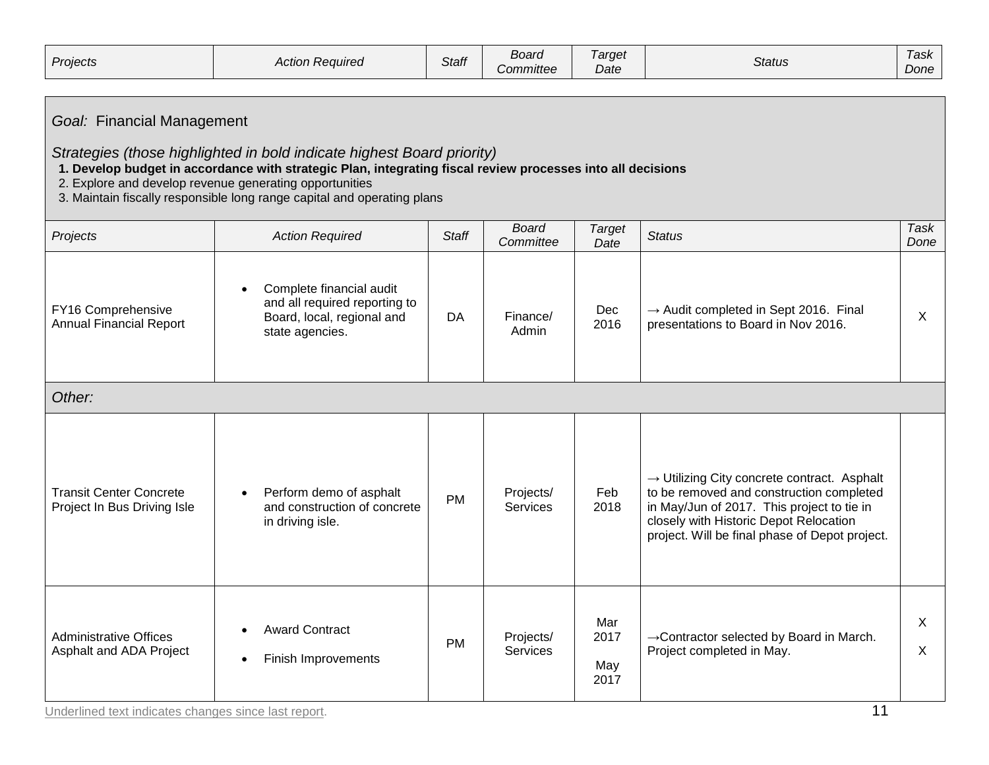| Projects | Reauired<br>Action H | --<br>Staff | Board<br>Committee | arget<br>$\cdot$<br>Date | Status | l ask<br>Done |
|----------|----------------------|-------------|--------------------|--------------------------|--------|---------------|
|----------|----------------------|-------------|--------------------|--------------------------|--------|---------------|

# *Goal:*Financial Management

*Strategies (those highlighted in bold indicate highest Board priority)*

#### **1. Develop budget in accordance with strategic Plan, integrating fiscal review processes into all decisions**

- 2. Explore and develop revenue generating opportunities
- 3. Maintain fiscally responsible long range capital and operating plans

| Projects                                                      | <b>Action Required</b>                                                                                                  | <b>Staff</b> | <b>Board</b><br>Committee    | <b>Target</b><br>Date      | <b>Status</b>                                                                                                                                                                                                                                 | <b>Task</b><br>Done |  |  |
|---------------------------------------------------------------|-------------------------------------------------------------------------------------------------------------------------|--------------|------------------------------|----------------------------|-----------------------------------------------------------------------------------------------------------------------------------------------------------------------------------------------------------------------------------------------|---------------------|--|--|
| FY16 Comprehensive<br><b>Annual Financial Report</b>          | Complete financial audit<br>$\bullet$<br>and all required reporting to<br>Board, local, regional and<br>state agencies. | DA           | Finance/<br>Admin            | Dec<br>2016                | $\rightarrow$ Audit completed in Sept 2016. Final<br>presentations to Board in Nov 2016.                                                                                                                                                      | $\mathsf{X}$        |  |  |
| Other:                                                        |                                                                                                                         |              |                              |                            |                                                                                                                                                                                                                                               |                     |  |  |
| <b>Transit Center Concrete</b><br>Project In Bus Driving Isle | Perform demo of asphalt<br>$\bullet$<br>and construction of concrete<br>in driving isle.                                | <b>PM</b>    | Projects/<br><b>Services</b> | Feb<br>2018                | $\rightarrow$ Utilizing City concrete contract. Asphalt<br>to be removed and construction completed<br>in May/Jun of 2017. This project to tie in<br>closely with Historic Depot Relocation<br>project. Will be final phase of Depot project. |                     |  |  |
| <b>Administrative Offices</b><br>Asphalt and ADA Project      | <b>Award Contract</b><br>Finish Improvements<br>$\bullet$                                                               | <b>PM</b>    | Projects/<br><b>Services</b> | Mar<br>2017<br>May<br>2017 | → Contractor selected by Board in March.<br>Project completed in May.                                                                                                                                                                         | X<br>$\sf X$        |  |  |